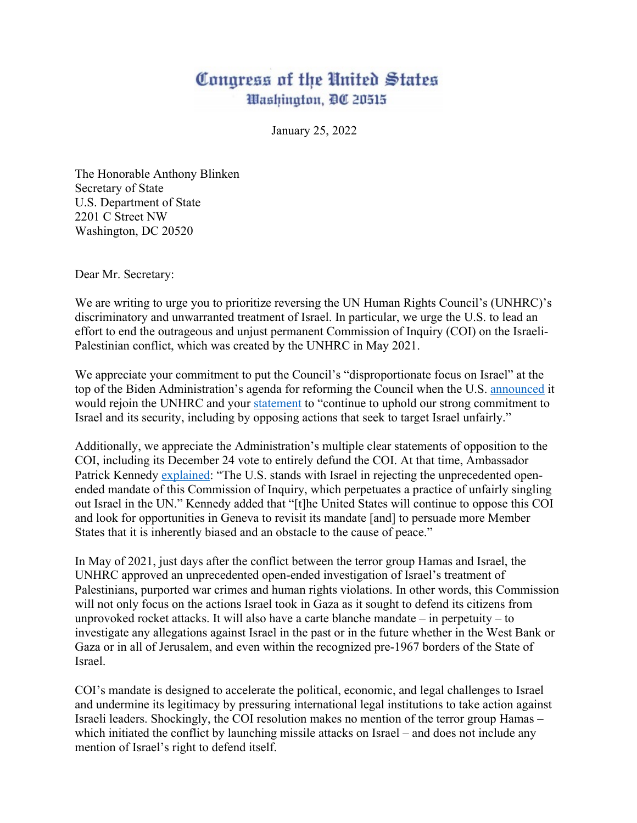## Congress of the United States Washington, DC 20515

January 25, 2022

The Honorable Anthony Blinken Secretary of State U.S. Department of State 2201 C Street NW Washington, DC 20520

Dear Mr. Secretary:

We are writing to urge you to prioritize reversing the UN Human Rights Council's (UNHRC)'s discriminatory and unwarranted treatment of Israel. In particular, we urge the U.S. to lead an effort to end the outrageous and unjust permanent Commission of Inquiry (COI) on the Israeli-Palestinian conflict, which was created by the UNHRC in May 2021.

We appreciate your commitment to put the Council's "disproportionate focus on Israel" at the top of the Biden Administration's agenda for reforming the Council when the U.S. announced it would rejoin the UNHRC and your statement to "continue to uphold our strong commitment to Israel and its security, including by opposing actions that seek to target Israel unfairly."

Additionally, we appreciate the Administration's multiple clear statements of opposition to the COI, including its December 24 vote to entirely defund the COI. At that time, Ambassador Patrick Kennedy explained: "The U.S. stands with Israel in rejecting the unprecedented openended mandate of this Commission of Inquiry, which perpetuates a practice of unfairly singling out Israel in the UN." Kennedy added that "[t]he United States will continue to oppose this COI and look for opportunities in Geneva to revisit its mandate [and] to persuade more Member States that it is inherently biased and an obstacle to the cause of peace."

In May of 2021, just days after the conflict between the terror group Hamas and Israel, the UNHRC approved an unprecedented open-ended investigation of Israel's treatment of Palestinians, purported war crimes and human rights violations. In other words, this Commission will not only focus on the actions Israel took in Gaza as it sought to defend its citizens from unprovoked rocket attacks. It will also have a carte blanche mandate – in perpetuity – to investigate any allegations against Israel in the past or in the future whether in the West Bank or Gaza or in all of Jerusalem, and even within the recognized pre-1967 borders of the State of Israel.

COI's mandate is designed to accelerate the political, economic, and legal challenges to Israel and undermine its legitimacy by pressuring international legal institutions to take action against Israeli leaders. Shockingly, the COI resolution makes no mention of the terror group Hamas – which initiated the conflict by launching missile attacks on Israel – and does not include any mention of Israel's right to defend itself.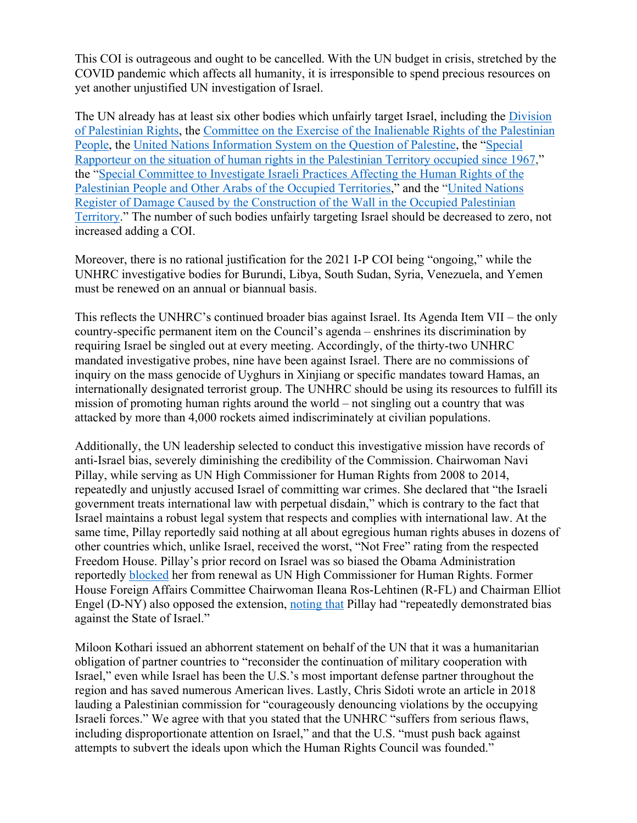This COI is outrageous and ought to be cancelled. With the UN budget in crisis, stretched by the COVID pandemic which affects all humanity, it is irresponsible to spend precious resources on yet another unjustified UN investigation of Israel.

The UN already has at least six other bodies which unfairly target Israel, including the Division of Palestinian Rights, the Committee on the Exercise of the Inalienable Rights of the Palestinian People, the United Nations Information System on the Question of Palestine, the "Special Rapporteur on the situation of human rights in the Palestinian Territory occupied since 1967," the "Special Committee to Investigate Israeli Practices Affecting the Human Rights of the Palestinian People and Other Arabs of the Occupied Territories," and the "United Nations Register of Damage Caused by the Construction of the Wall in the Occupied Palestinian Territory." The number of such bodies unfairly targeting Israel should be decreased to zero, not increased adding a COI.

Moreover, there is no rational justification for the 2021 I-P COI being "ongoing," while the UNHRC investigative bodies for Burundi, Libya, South Sudan, Syria, Venezuela, and Yemen must be renewed on an annual or biannual basis.

This reflects the UNHRC's continued broader bias against Israel. Its Agenda Item VII – the only country-specific permanent item on the Council's agenda – enshrines its discrimination by requiring Israel be singled out at every meeting. Accordingly, of the thirty-two UNHRC mandated investigative probes, nine have been against Israel. There are no commissions of inquiry on the mass genocide of Uyghurs in Xinjiang or specific mandates toward Hamas, an internationally designated terrorist group. The UNHRC should be using its resources to fulfill its mission of promoting human rights around the world – not singling out a country that was attacked by more than 4,000 rockets aimed indiscriminately at civilian populations.

Additionally, the UN leadership selected to conduct this investigative mission have records of anti-Israel bias, severely diminishing the credibility of the Commission. Chairwoman Navi Pillay, while serving as UN High Commissioner for Human Rights from 2008 to 2014, repeatedly and unjustly accused Israel of committing war crimes. She declared that "the Israeli government treats international law with perpetual disdain," which is contrary to the fact that Israel maintains a robust legal system that respects and complies with international law. At the same time, Pillay reportedly said nothing at all about egregious human rights abuses in dozens of other countries which, unlike Israel, received the worst, "Not Free" rating from the respected Freedom House. Pillay's prior record on Israel was so biased the Obama Administration reportedly blocked her from renewal as UN High Commissioner for Human Rights. Former House Foreign Affairs Committee Chairwoman Ileana Ros-Lehtinen (R-FL) and Chairman Elliot Engel (D-NY) also opposed the extension, noting that Pillay had "repeatedly demonstrated bias against the State of Israel."

Miloon Kothari issued an abhorrent statement on behalf of the UN that it was a humanitarian obligation of partner countries to "reconsider the continuation of military cooperation with Israel," even while Israel has been the U.S.'s most important defense partner throughout the region and has saved numerous American lives. Lastly, Chris Sidoti wrote an article in 2018 lauding a Palestinian commission for "courageously denouncing violations by the occupying Israeli forces." We agree with that you stated that the UNHRC "suffers from serious flaws, including disproportionate attention on Israel," and that the U.S. "must push back against attempts to subvert the ideals upon which the Human Rights Council was founded."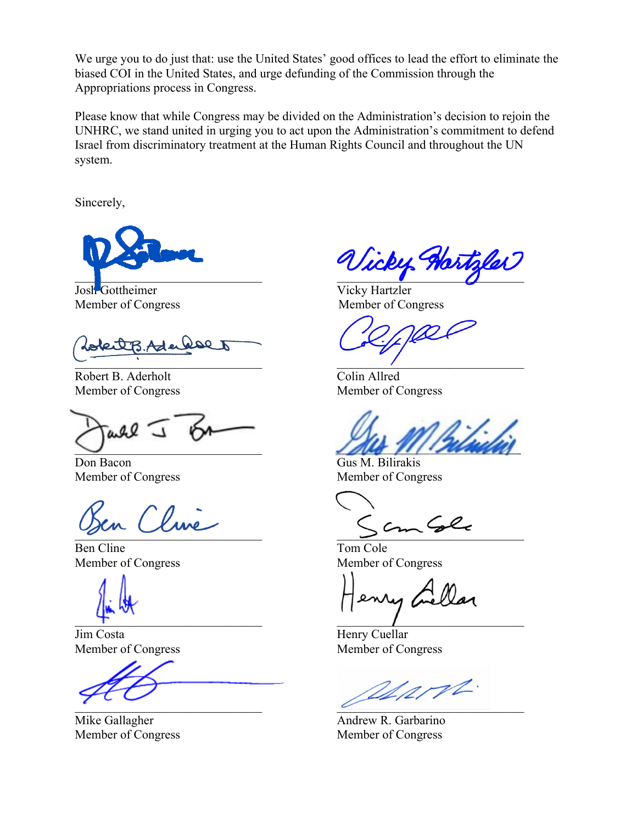We urge you to do just that: use the United States' good offices to lead the effort to eliminate the biased COI in the United States, and urge defunding of the Commission through the Appropriations process in Congress.

Please know that while Congress may be divided on the Administration's decision to rejoin the UNHRC, we stand united in urging you to act upon the Administration's commitment to defend Israel from discriminatory treatment at the Human Rights Council and throughout the UN system.

Sincerely,



Josh Gottheimer Vicky Hartzler

 $\mathscr{F} \mathscr{L}$ Ader  $\overline{a}$  , and the contract of  $\overline{a}$ 

Robert B. Aderholt Colin Allred Member of Congress Member of Congress

 $0.92$ 

Don Bacon Gus M. Bilirakis

Ben Cline Tom Cole

Jim Costa Henry Cuellar Member of Congress Member of Congress

icky Hartzler

Member of Congress Member of Congress

 $\Box$ 

Member of Congress Member of Congress

 $\sum_{i=1}^n$ 

Member of Congress Member of Congress

 $\qquad \qquad$ 

appt.  $\overline{\mathcal{C}}$ 

Mike Gallagher **Andrew R. Garbarino** Andrew R. Garbarino Member of Congress Member of Congress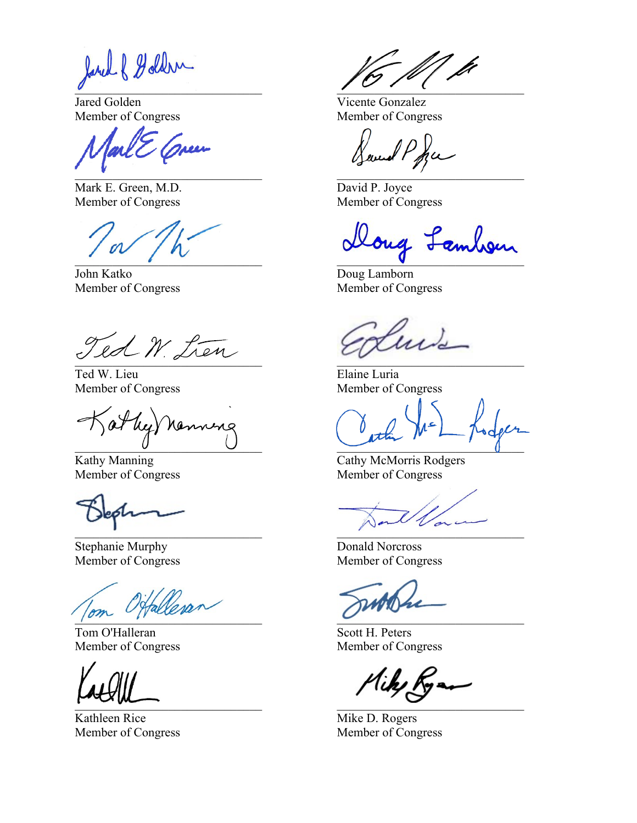Jared & Goldern

Jared Golden Vicente Gonzalez

ul E Creen  $\mathcal{L}$  , the contract of the contract of  $\mathcal{L}$ 

Mark E. Green, M.D. David P. Joyce Member of Congress Member of Congress

John Katko Doug Lamborn Member of Congress Member of Congress

 $Y$ ed  $N$  trans  $\cup$   $\infty$   $\cup$   $\cup$   $\cup$   $\infty$   $\cup$   $\cup$   $\in$   $\cup$   $\in$   $\cup$   $\in$   $\cup$   $\in$   $\cup$   $\in$   $\cup$   $\in$   $\cup$   $\in$   $\cup$   $\in$   $\cup$   $\in$   $\cup$   $\in$   $\cup$   $\in$   $\cup$   $\in$   $\cup$   $\in$   $\cup$   $\in$   $\cup$   $\in$   $\cup$   $\in$   $\cup$   $\in$   $\cup$   $\in$   $\in$ 

Ted W. Lieu **Elaine Luria** Member of Congress Member of Congress

Jat leg) nonning

Stephanie Murphy Donald Norcross Member of Congress Member of Congress

 $\sim$ 

Tom O'Halleran Scott H. Peters Member of Congress Member of Congress

Kathleen Rice Mike D. Rogers Member of Congress Member of Congress

 $\overline{\phantom{a}}$ 

Member of Congress Member of Congress

Havened Popu

\_\_\_\_\_\_\_\_\_\_\_\_\_\_\_\_\_\_\_\_\_\_\_\_\_\_\_\_\_\_ \_\_\_\_\_\_\_\_\_\_\_\_\_\_\_\_\_\_\_\_\_\_\_\_\_\_\_\_\_\_

u.

Kathy Manning Cathy McMorris Rodgers Member of Congress Member of Congress

 $\blacksquare$ 

 $L_{\text{max}}$